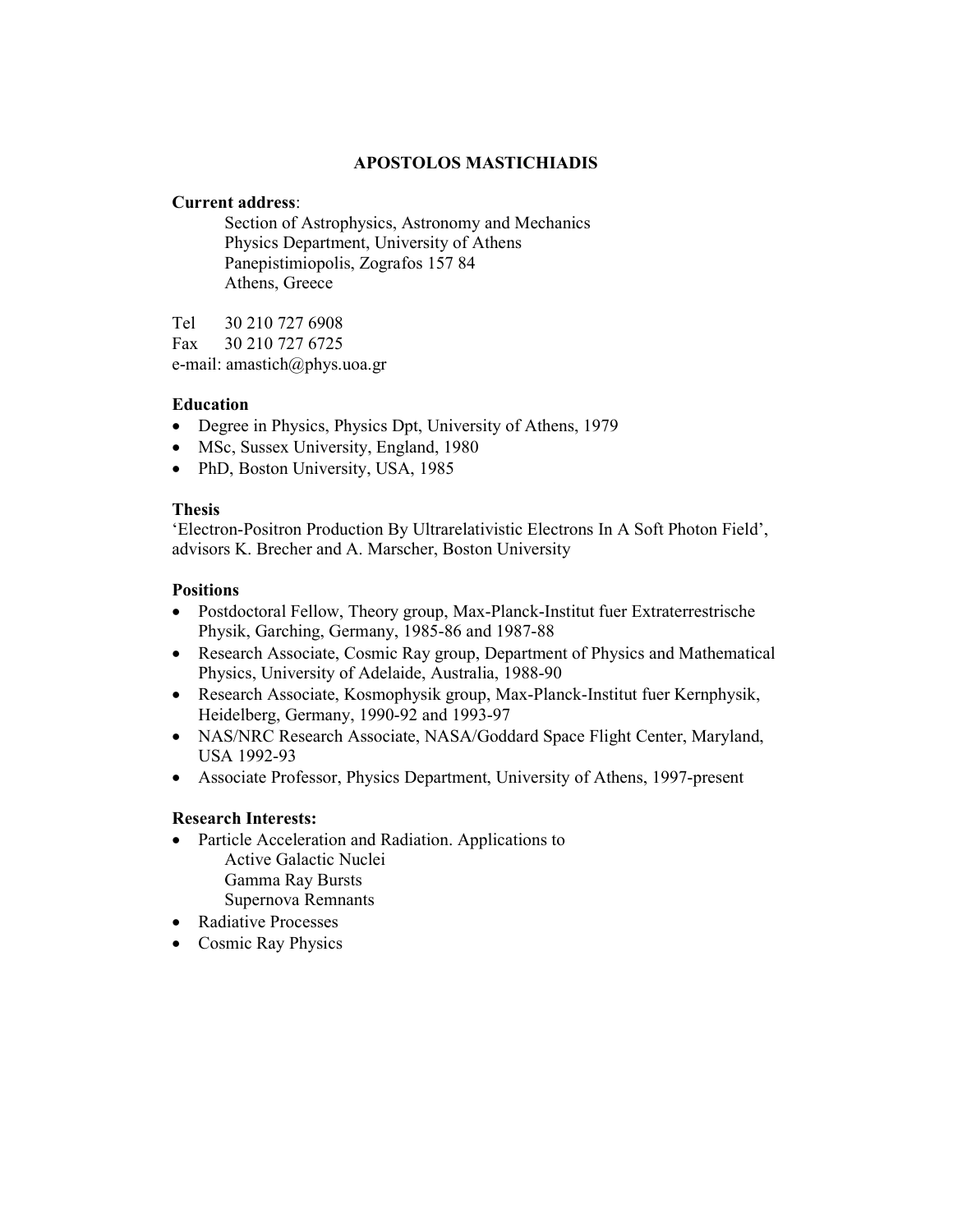# **APOSTOLOS MASTICHIADIS**

### **Current address**:

 Section of Astrophysics, Astronomy and Mechanics Physics Department, University of Athens Panepistimiopolis, Zografos 157 84 Athens, Greece

Tel 30 210 727 6908 Fax 30 210 727 6725 e-mail: amastich@phys.uoa.gr

## **Education**

- Degree in Physics, Physics Dpt, University of Athens, 1979
- MSc, Sussex University, England, 1980
- PhD, Boston University, USA, 1985

#### **Thesis**

'Electron-Positron Production By Ultrarelativistic Electrons In A Soft Photon Field', advisors K. Brecher and A. Marscher, Boston University

#### **Positions**

- Postdoctoral Fellow, Theory group, Max-Planck-Institut fuer Extraterrestrische Physik, Garching, Germany, 1985-86 and 1987-88
- Research Associate, Cosmic Ray group, Department of Physics and Mathematical Physics, University of Adelaide, Αustralia, 1988-90
- Research Associate, Kosmophysik group, Max-Planck-Institut fuer Kernphysik, Heidelberg, Germany, 1990-92 and 1993-97
- NAS/NRC Research Associate, NASA/Goddard Space Flight Center, Maryland, USA 1992-93
- Associate Professor, Physics Department, University of Athens, 1997-present

## **Research Interests:**

- Particle Acceleration and Radiation. Applications to Active Galactic Nuclei Gamma Ray Bursts Supernova Remnants
- Radiative Processes
- Cosmic Ray Physics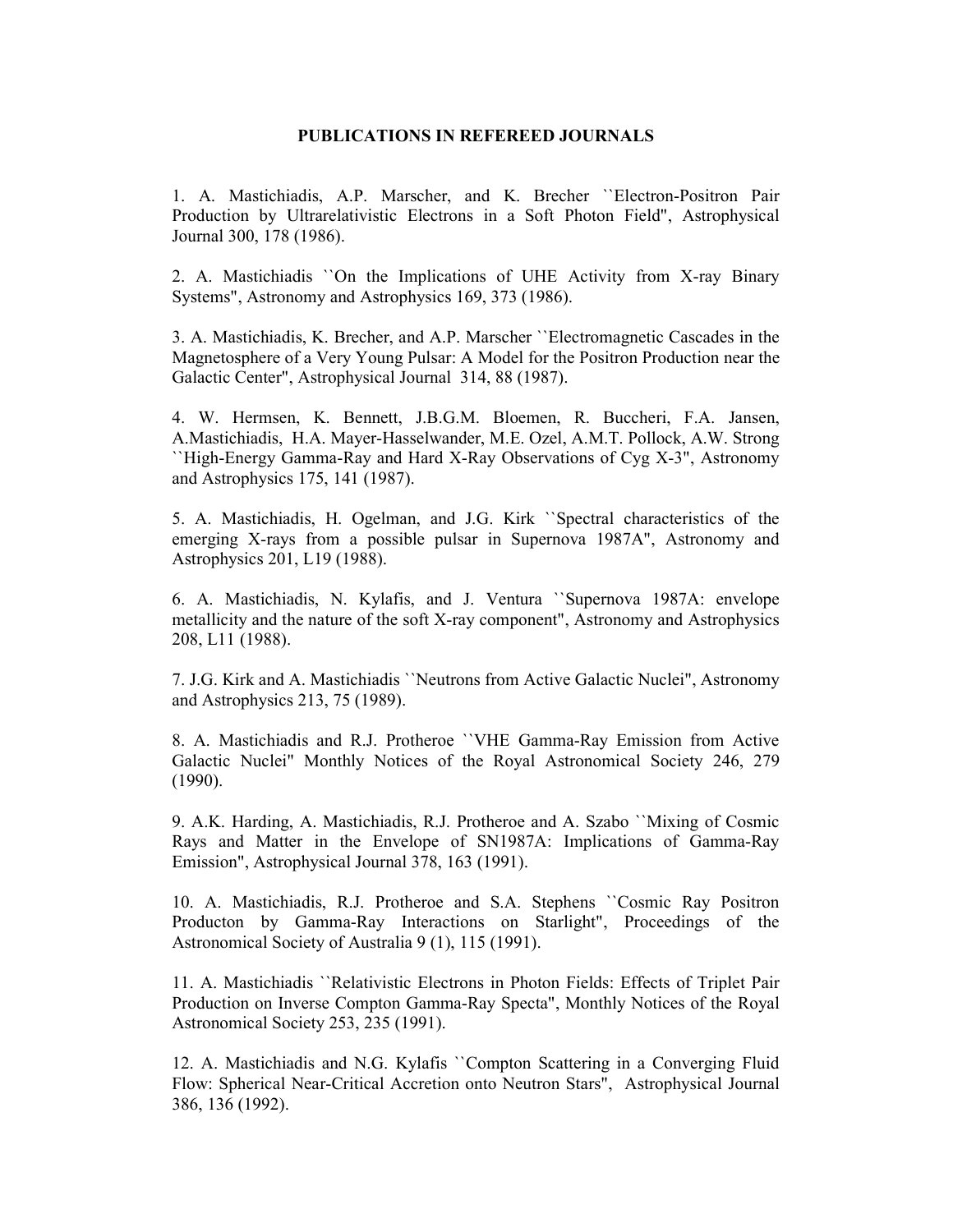#### **PUBLICATIONS IN REFEREED JOURNALS**

1. A. Mastichiadis, A.P. Marscher, and K. Brecher ``Electron-Positron Pair Production by Ultrarelativistic Electrons in a Soft Photon Field", Astrophysical Journal 300, 178 (1986).

2. A. Mastichiadis ``On the Implications of UHE Activity from X-ray Binary Systems", Astronomy and Astrophysics 169, 373 (1986).

3. A. Mastichiadis, K. Brecher, and A.P. Marscher ``Electromagnetic Cascades in the Magnetosphere of a Very Young Pulsar: A Model for the Positron Production near the Galactic Center", Astrophysical Journal 314, 88 (1987).

4. W. Hermsen, K. Bennett, J.B.G.M. Bloemen, R. Buccheri, F.A. Jansen, A.Mastichiadis, H.A. Mayer-Hasselwander, M.E. Οzel, A.M.T. Pollock, A.W. Strong ``High-Energy Gamma-Ray and Hard X-Ray Observations of Cyg X-3", Astronomy and Astrophysics 175, 141 (1987).

5. A. Mastichiadis, H. Ogelman, and J.G. Kirk ``Spectral characteristics of the emerging X-rays from a possible pulsar in Supernova 1987A", Astronomy and Astrophysics 201, L19 (1988).

6. A. Mastichiadis, N. Kylafis, and J. Ventura ``Supernova 1987A: envelope metallicity and the nature of the soft X-ray component", Astronomy and Astrophysics 208, L11 (1988).

7. J.G. Kirk and A. Mastichiadis ``Neutrons from Active Galactic Nuclei", Astronomy and Astrophysics 213, 75 (1989).

8. A. Mastichiadis and R.J. Protheroe ``VHE Gamma-Ray Emission from Active Galactic Nuclei" Monthly Notices of the Royal Astronomical Society 246, 279 (1990).

9. A.K. Harding, A. Mastichiadis, R.J. Protheroe and A. Szabo ``Mixing of Cosmic Rays and Matter in the Envelope of SN1987A: Implications of Gamma-Ray Emission", Astrophysical Journal 378, 163 (1991).

10. A. Mastichiadis, R.J. Protheroe and S.A. Stephens ``Cosmic Ray Positron Producton by Gamma-Ray Interactions on Starlight", Proceedings of the Astronomical Society of Australia 9 (1), 115 (1991).

11. A. Mastichiadis ``Relativistic Electrons in Photon Fields: Effects of Triplet Pair Production on Inverse Compton Gamma-Ray Specta", Monthly Notices of the Royal Astronomical Society 253, 235 (1991).

12. A. Mastichiadis and N.G. Kylafis ``Compton Scattering in a Converging Fluid Flow: Spherical Near-Critical Accretion onto Neutron Stars", Astrophysical Journal 386, 136 (1992).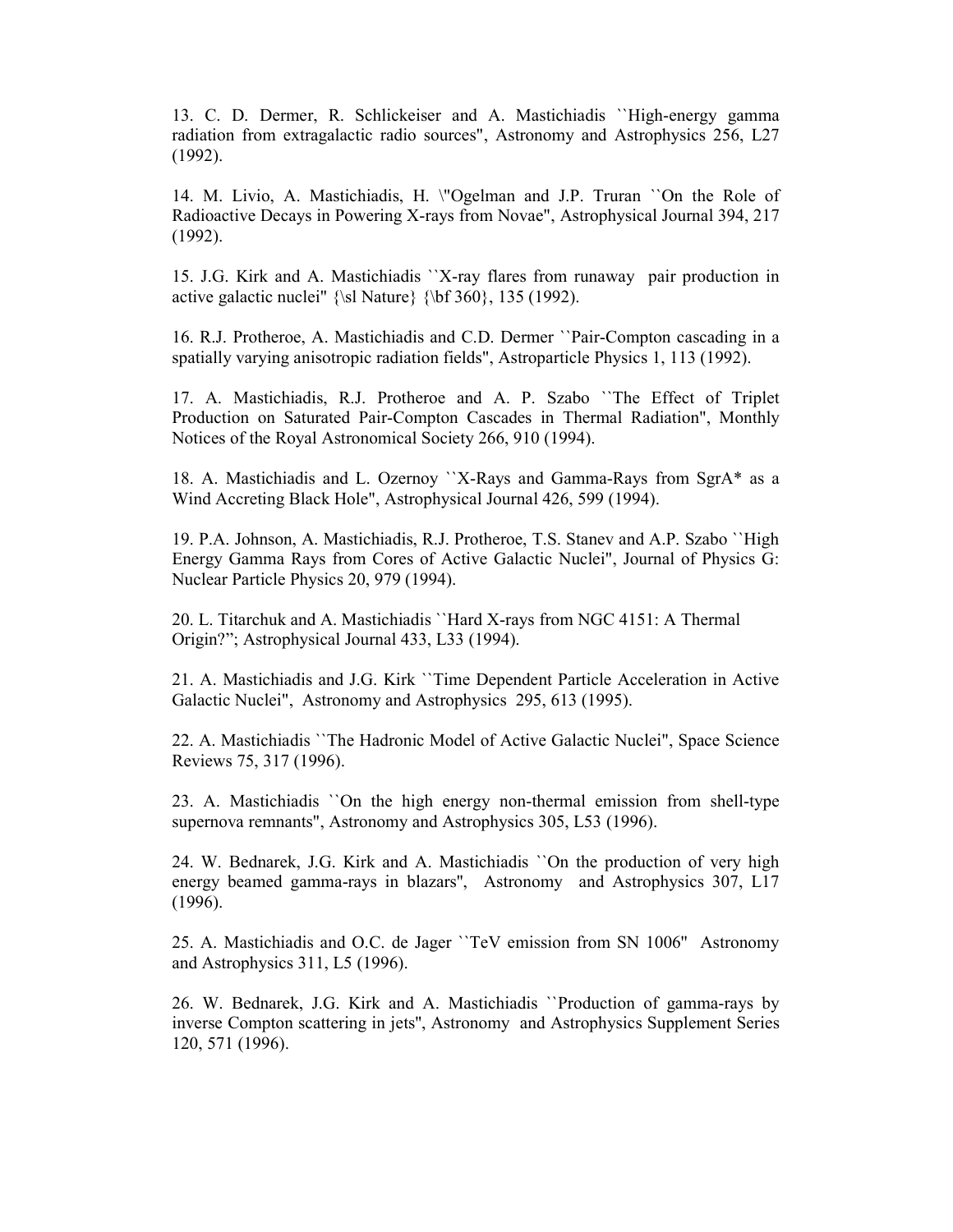13. C. D. Dermer, R. Schlickeiser and A. Mastichiadis ``High-energy gamma radiation from extragalactic radio sources", Astronomy and Astrophysics 256, L27 (1992).

14. M. Livio, A. Mastichiadis, H. \"Ogelman and J.P. Truran ``On the Role of Radioactive Decays in Powering X-rays from Novae", Astrophysical Journal 394, 217 (1992).

15. J.G. Kirk and A. Mastichiadis ``X-ray flares from runaway pair production in active galactic nuclei"  ${\sl \sl{bf 360}, 135 (1992)}$ .

16. R.J. Protheroe, A. Mastichiadis and C.D. Dermer ``Pair-Compton cascading in a spatially varying anisotropic radiation fields", Astroparticle Physics 1, 113 (1992).

17. A. Mastichiadis, R.J. Protheroe and A. P. Szabo ``The Effect of Triplet Production on Saturated Pair-Compton Cascades in Thermal Radiation", Monthly Notices of the Royal Astronomical Society 266, 910 (1994).

18. A. Mastichiadis and L. Ozernoy ``X-Rays and Gamma-Rays from SgrA\* as a Wind Accreting Black Hole", Astrophysical Journal 426, 599 (1994).

19. P.A. Johnson, A. Mastichiadis, R.J. Protheroe, T.S. Stanev and A.P. Szabo ``High Energy Gamma Rays from Cores of Active Galactic Nuclei", Journal of Physics G: Nuclear Particle Physics 20, 979 (1994).

20. L. Titarchuk and A. Mastichiadis ``Hard X-rays from NGC 4151: A Thermal Origin?"; Astrophysical Journal 433, L33 (1994).

21. A. Mastichiadis and J.G. Kirk ``Time Dependent Particle Acceleration in Active Galactic Nuclei", Astronomy and Astrophysics 295, 613 (1995).

22. A. Mastichiadis ``The Hadronic Model of Active Galactic Nuclei", Space Science Reviews 75, 317 (1996).

23. A. Mastichiadis ``On the high energy non-thermal emission from shell-type supernova remnants", Astronomy and Astrophysics 305, L53 (1996).

24. W. Bednarek, J.G. Kirk and A. Mastichiadis ``On the production of very high energy beamed gamma-rays in blazars'', Astronomy and Astrophysics 307, L17 (1996).

25. A. Mastichiadis and O.C. de Jager ``TeV emission from SN 1006'' Astronomy and Astrophysics 311, L5 (1996).

26. W. Bednarek, J.G. Kirk and A. Mastichiadis ``Production of gamma-rays by inverse Compton scattering in jets'', Astronomy and Astrophysics Supplement Series 120, 571 (1996).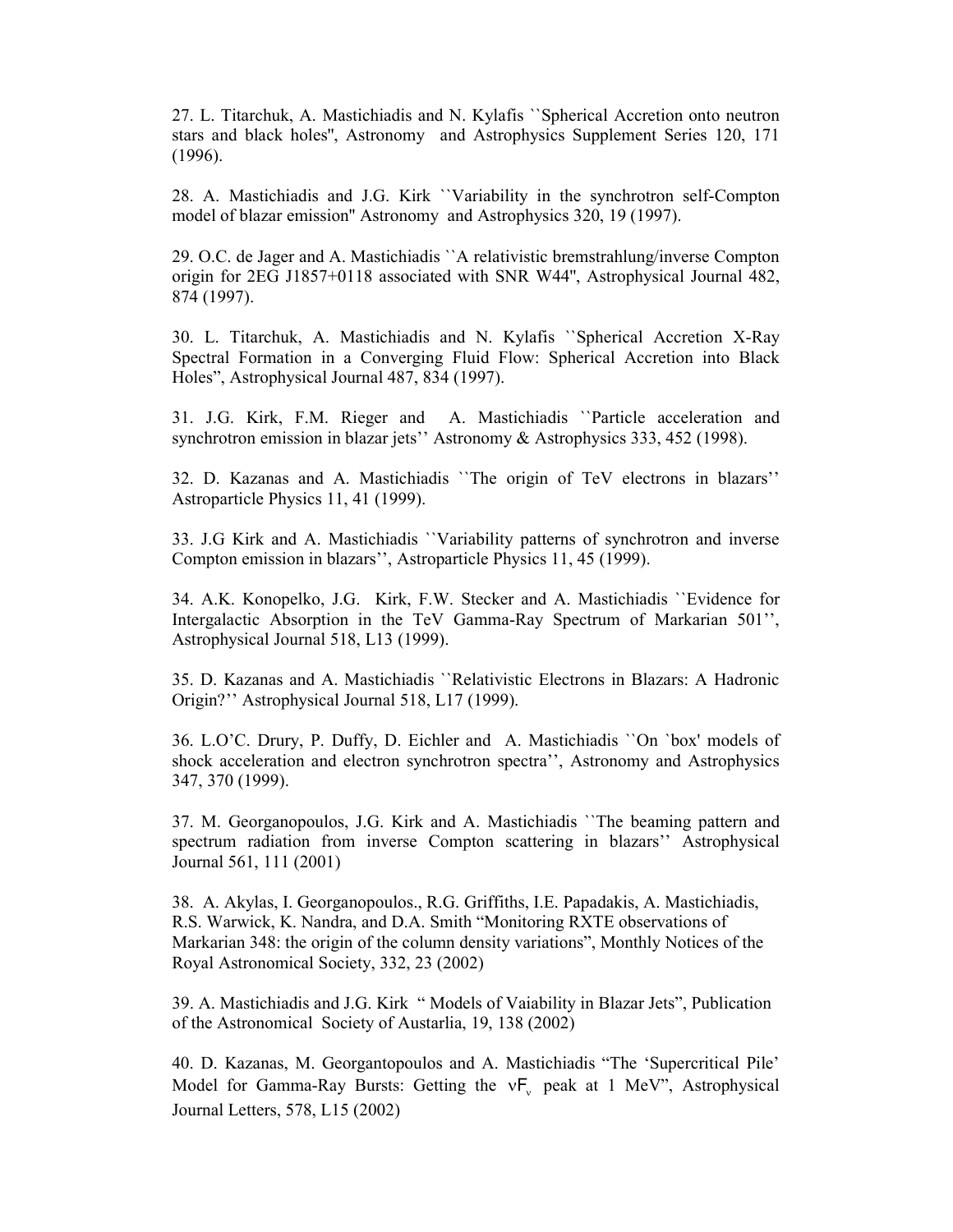27. L. Titarchuk, A. Mastichiadis and N. Kylafis ``Spherical Accretion onto neutron stars and black holes'', Astronomy and Astrophysics Supplement Series 120, 171 (1996).

28. A. Mastichiadis and J.G. Kirk ``Variability in the synchrotron self-Compton model of blazar emission'' Astronomy and Astrophysics 320, 19 (1997).

29. O.C. de Jager and A. Mastichiadis ``A relativistic bremstrahlung/inverse Compton origin for 2EG J1857+0118 associated with SNR W44'', Astrophysical Journal 482, 874 (1997).

30. L. Titarchuk, A. Mastichiadis and N. Kylafis ``Spherical Accretion X-Ray Spectral Formation in a Converging Fluid Flow: Spherical Accretion into Black Holes", Astrophysical Journal 487, 834 (1997).

31. J.G. Kirk, F.M. Rieger and A. Mastichiadis ``Particle acceleration and synchrotron emission in blazar jets'' Astronomy & Astrophysics 333, 452 (1998).

32. D. Kazanas and A. Mastichiadis ``The origin of TeV electrons in blazars'' Αstroparticle Physics 11, 41 (1999).

33. J.G Kirk and A. Mastichiadis ``Variability patterns of synchrotron and inverse Compton emission in blazars'', Αstroparticle Physics 11, 45 (1999).

34. A.K. Konopelko, J.G. Kirk, F.W. Stecker and A. Mastichiadis ``Evidence for Intergalactic Absorption in the TeV Gamma-Ray Spectrum of Markarian 501'', Astrophysical Journal 518, L13 (1999).

35. D. Kazanas and A. Mastichiadis ``Relativistic Electrons in Blazars: A Hadronic Origin?'' Astrophysical Journal 518, L17 (1999).

36. L.O'C. Drury, P. Duffy, D. Eichler and A. Mastichiadis ``On `box' models of shock acceleration and electron synchrotron spectra'', Astronomy and Astrophysics 347, 370 (1999).

37. M. Georganopoulos, J.G. Kirk and A. Mastichiadis ``The beaming pattern and spectrum radiation from inverse Compton scattering in blazars'' Astrophysical Journal 561, 111 (2001)

38. A. Akylas, I. Georganopoulos., R.G. Griffiths, I.E. Papadakis, A. Mastichiadis, R.S. Warwick, K. Nandra, and D.A. Smith "Monitoring RXTE observations of Markarian 348: the origin of the column density variations", Monthly Notices of the Royal Astronomical Society, 332, 23 (2002)

39. Α. Μastichiadis and J.G. Kirk " Models of Vaiability in Blazar Jets", Publication of the Astronomical Society of Austarlia, 19, 138 (2002)

40. D. Kazanas, M. Georgantopoulos and A. Mastichiadis "The 'Supercritical Pile' Model for Gamma-Ray Bursts: Getting the  $vF_v$  peak at 1 MeV", Astrophysical Journal Letters, 578, L15 (2002)